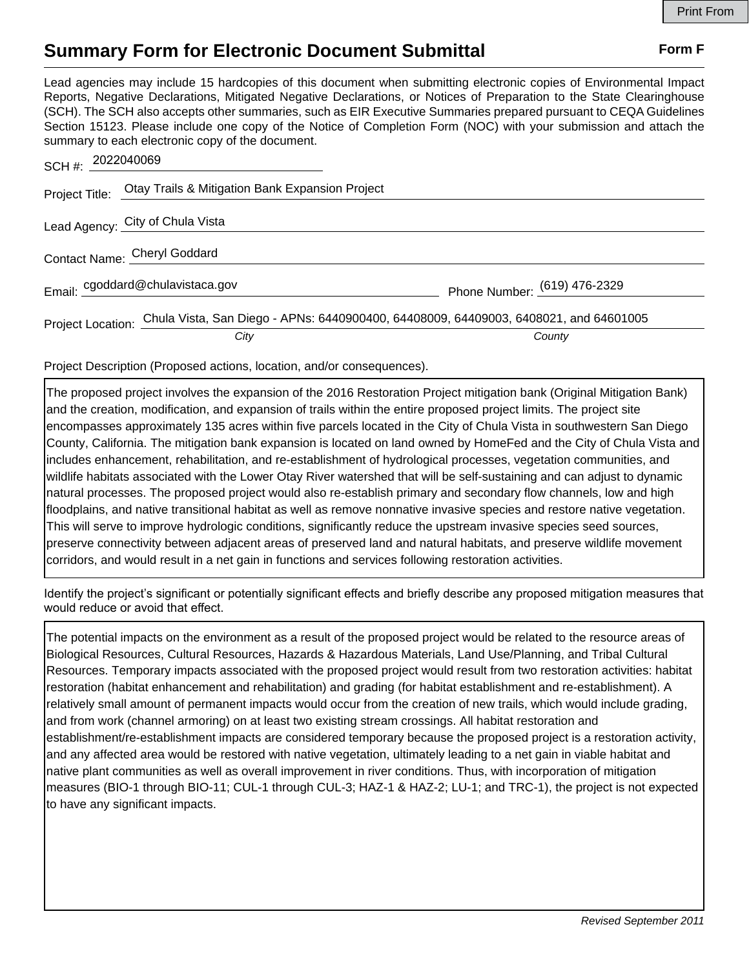## **Summary Form for Electronic Document Submittal Form F Form F**

Lead agencies may include 15 hardcopies of this document when submitting electronic copies of Environmental Impact Reports, Negative Declarations, Mitigated Negative Declarations, or Notices of Preparation to the State Clearinghouse (SCH). The SCH also accepts other summaries, such as EIR Executive Summaries prepared pursuant to CEQA Guidelines Section 15123. Please include one copy of the Notice of Completion Form (NOC) with your submission and attach the summary to each electronic copy of the document.

| SCH #: 2022040069            |                                                                                                        |                              |
|------------------------------|--------------------------------------------------------------------------------------------------------|------------------------------|
|                              | Project Title: Otay Trails & Mitigation Bank Expansion Project                                         |                              |
|                              | Lead Agency: City of Chula Vista                                                                       |                              |
| Contact Name: Cheryl Goddard |                                                                                                        |                              |
|                              | Email: cgoddard@chulavistaca.gov                                                                       | Phone Number: (619) 476-2329 |
|                              | Project Location: Chula Vista, San Diego - APNs: 6440900400, 64408009, 64409003, 6408021, and 64601005 |                              |
|                              | City                                                                                                   | County                       |

Project Description (Proposed actions, location, and/or consequences).

The proposed project involves the expansion of the 2016 Restoration Project mitigation bank (Original Mitigation Bank) and the creation, modification, and expansion of trails within the entire proposed project limits. The project site encompasses approximately 135 acres within five parcels located in the City of Chula Vista in southwestern San Diego County, California. The mitigation bank expansion is located on land owned by HomeFed and the City of Chula Vista and includes enhancement, rehabilitation, and re-establishment of hydrological processes, vegetation communities, and wildlife habitats associated with the Lower Otay River watershed that will be self-sustaining and can adjust to dynamic natural processes. The proposed project would also re-establish primary and secondary flow channels, low and high floodplains, and native transitional habitat as well as remove nonnative invasive species and restore native vegetation. This will serve to improve hydrologic conditions, significantly reduce the upstream invasive species seed sources, preserve connectivity between adjacent areas of preserved land and natural habitats, and preserve wildlife movement corridors, and would result in a net gain in functions and services following restoration activities.

Identify the project's significant or potentially significant effects and briefly describe any proposed mitigation measures that would reduce or avoid that effect.

The potential impacts on the environment as a result of the proposed project would be related to the resource areas of Biological Resources, Cultural Resources, Hazards & Hazardous Materials, Land Use/Planning, and Tribal Cultural Resources. Temporary impacts associated with the proposed project would result from two restoration activities: habitat restoration (habitat enhancement and rehabilitation) and grading (for habitat establishment and re-establishment). A relatively small amount of permanent impacts would occur from the creation of new trails, which would include grading, and from work (channel armoring) on at least two existing stream crossings. All habitat restoration and establishment/re-establishment impacts are considered temporary because the proposed project is a restoration activity, and any affected area would be restored with native vegetation, ultimately leading to a net gain in viable habitat and native plant communities as well as overall improvement in river conditions. Thus, with incorporation of mitigation measures (BIO-1 through BIO-11; CUL-1 through CUL-3; HAZ-1 & HAZ-2; LU-1; and TRC-1), the project is not expected to have any significant impacts.